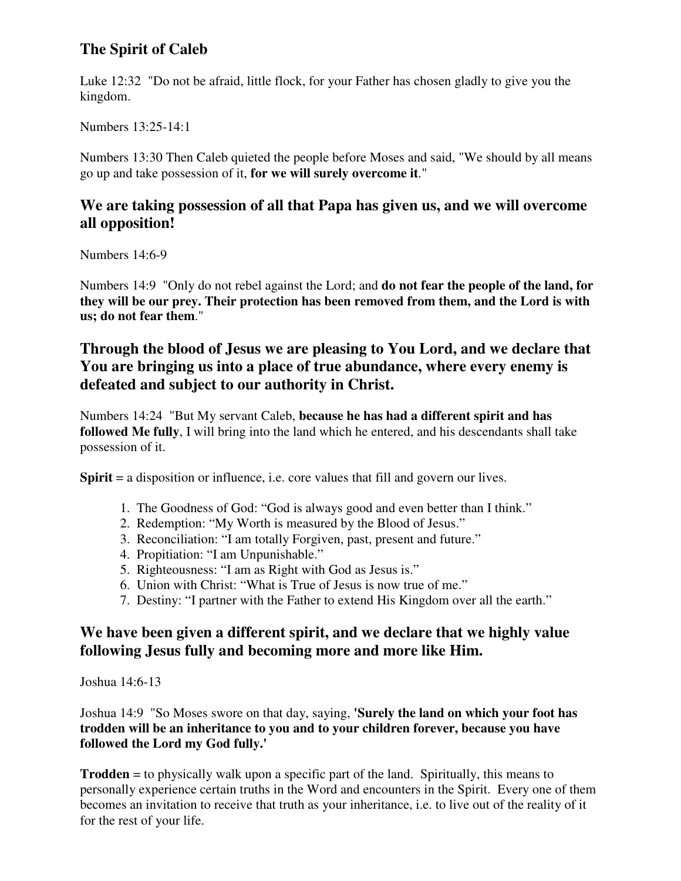# **The Spirit of Caleb**

Luke 12:32 "Do not be afraid, little flock, for your Father has chosen gladly to give you the kingdom.

Numbers 13:25-14:1

Numbers 13:30 Then Caleb quieted the people before Moses and said, "We should by all means go up and take possession of it, **for we will surely overcome it**."

### **We are taking possession of all that Papa has given us, and we will overcome all opposition!**

Numbers 14:6-9

Numbers 14:9 "Only do not rebel against the Lord; and **do not fear the people of the land, for they will be our prey. Their protection has been removed from them, and the Lord is with us; do not fear them**."

# **Through the blood of Jesus we are pleasing to You Lord, and we declare that You are bringing us into a place of true abundance, where every enemy is defeated and subject to our authority in Christ.**

Numbers 14:24 "But My servant Caleb, **because he has had a different spirit and has followed Me fully**, I will bring into the land which he entered, and his descendants shall take possession of it.

**Spirit** = a disposition or influence, i.e. core values that fill and govern our lives.

- 1. The Goodness of God: "God is always good and even better than I think."
- 2. Redemption: "My Worth is measured by the Blood of Jesus."
- 3. Reconciliation: "I am totally Forgiven, past, present and future."
- 4. Propitiation: "I am Unpunishable."
- 5. Righteousness: "I am as Right with God as Jesus is."
- 6. Union with Christ: "What is True of Jesus is now true of me."
- 7. Destiny: "I partner with the Father to extend His Kingdom over all the earth."

# **We have been given a different spirit, and we declare that we highly value following Jesus fully and becoming more and more like Him.**

Joshua 14:6-13

Joshua 14:9 "So Moses swore on that day, saying, **'Surely the land on which your foot has trodden will be an inheritance to you and to your children forever, because you have followed the Lord my God fully.'** 

**Trodden** = to physically walk upon a specific part of the land. Spiritually, this means to personally experience certain truths in the Word and encounters in the Spirit. Every one of them becomes an invitation to receive that truth as your inheritance, i.e. to live out of the reality of it for the rest of your life.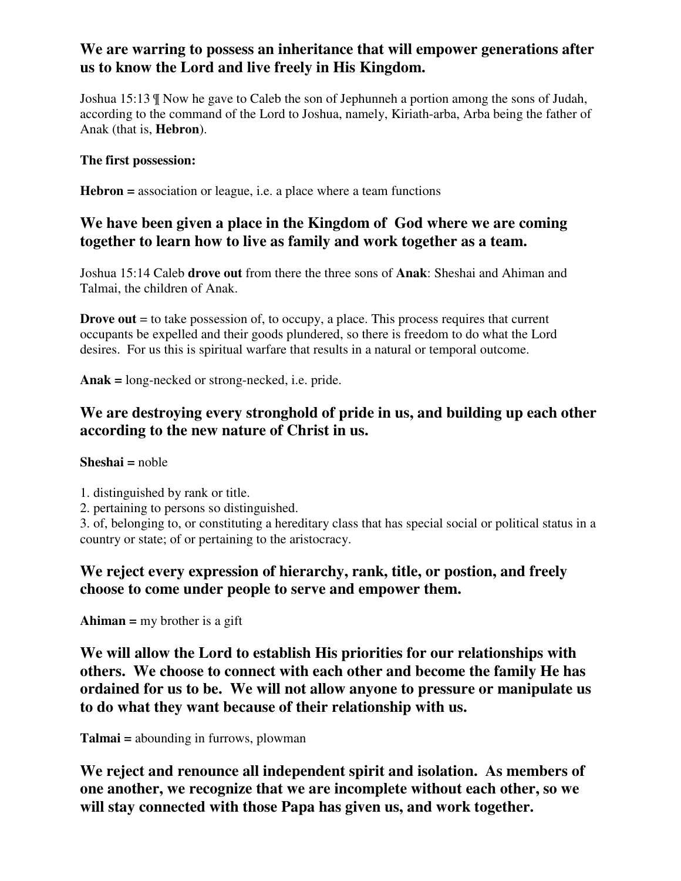# **We are warring to possess an inheritance that will empower generations after us to know the Lord and live freely in His Kingdom.**

Joshua 15:13 ¶ Now he gave to Caleb the son of Jephunneh a portion among the sons of Judah, according to the command of the Lord to Joshua, namely, Kiriath-arba, Arba being the father of Anak (that is, **Hebron**).

### **The first possession:**

**Hebron =** association or league, i.e. a place where a team functions

## **We have been given a place in the Kingdom of God where we are coming together to learn how to live as family and work together as a team.**

Joshua 15:14 Caleb **drove out** from there the three sons of **Anak**: Sheshai and Ahiman and Talmai, the children of Anak.

**Drove out** = to take possession of, to occupy, a place. This process requires that current occupants be expelled and their goods plundered, so there is freedom to do what the Lord desires. For us this is spiritual warfare that results in a natural or temporal outcome.

**Anak =** long-necked or strong-necked, i.e. pride.

# **We are destroying every stronghold of pride in us, and building up each other according to the new nature of Christ in us.**

#### **Sheshai =** noble

1. distinguished by rank or title.

2. pertaining to persons so distinguished.

3. of, belonging to, or constituting a hereditary class that has special social or political status in a country or state; of or pertaining to the aristocracy.

### **We reject every expression of hierarchy, rank, title, or postion, and freely choose to come under people to serve and empower them.**

**Ahiman =** my brother is a gift

**We will allow the Lord to establish His priorities for our relationships with others. We choose to connect with each other and become the family He has ordained for us to be. We will not allow anyone to pressure or manipulate us to do what they want because of their relationship with us.**

**Talmai =** abounding in furrows, plowman

**We reject and renounce all independent spirit and isolation. As members of one another, we recognize that we are incomplete without each other, so we will stay connected with those Papa has given us, and work together.**